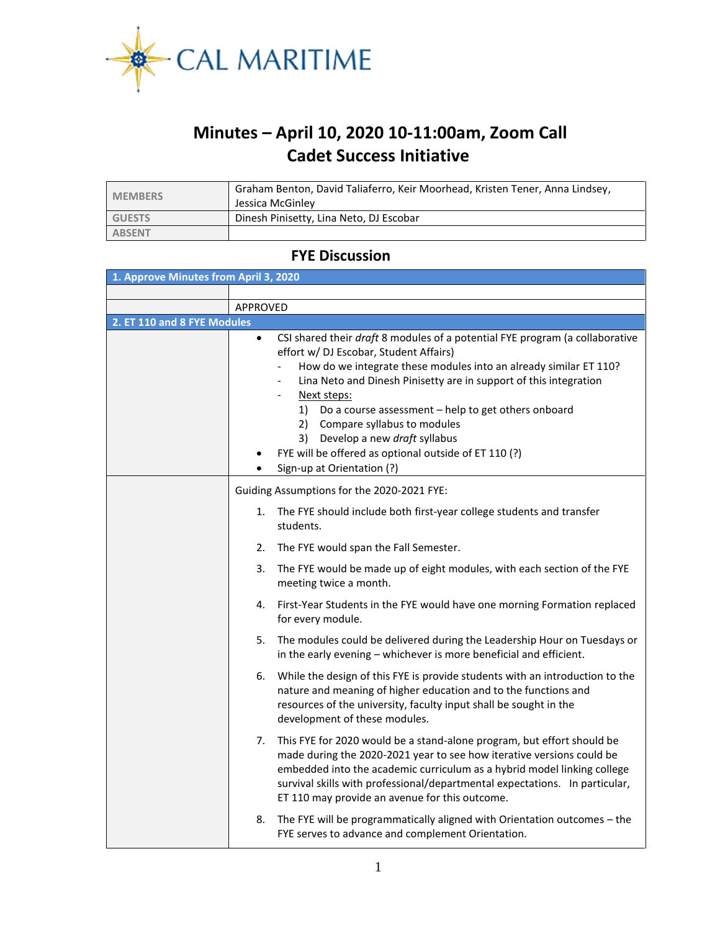

## **Minutes – April 10, 2020 10-11:00am, Zoom Call Cadet Success Initiative**

| <b>MEMBERS</b> | Graham Benton, David Taliaferro, Keir Moorhead, Kristen Tener, Anna Lindsey,<br>Jessica McGinley |
|----------------|--------------------------------------------------------------------------------------------------|
| <b>GUESTS</b>  | Dinesh Pinisetty, Lina Neto, DJ Escobar                                                          |
| <b>ABSENT</b>  |                                                                                                  |

## **FYE Discussion**

| 1. Approve Minutes from April 3, 2020 |                                            |                                                                                                                                                                                                                                                                                                                                                                                                                                                                                                                                    |  |  |  |  |  |  |  |
|---------------------------------------|--------------------------------------------|------------------------------------------------------------------------------------------------------------------------------------------------------------------------------------------------------------------------------------------------------------------------------------------------------------------------------------------------------------------------------------------------------------------------------------------------------------------------------------------------------------------------------------|--|--|--|--|--|--|--|
|                                       |                                            |                                                                                                                                                                                                                                                                                                                                                                                                                                                                                                                                    |  |  |  |  |  |  |  |
|                                       | APPROVED                                   |                                                                                                                                                                                                                                                                                                                                                                                                                                                                                                                                    |  |  |  |  |  |  |  |
| 2. ET 110 and 8 FYE Modules           |                                            |                                                                                                                                                                                                                                                                                                                                                                                                                                                                                                                                    |  |  |  |  |  |  |  |
|                                       | $\bullet$                                  | CSI shared their draft 8 modules of a potential FYE program (a collaborative<br>effort w/ DJ Escobar, Student Affairs)<br>How do we integrate these modules into an already similar ET 110?<br>Lina Neto and Dinesh Pinisetty are in support of this integration<br>$\overline{\phantom{0}}$<br>Next steps:<br>$\overline{\phantom{a}}$<br>Do a course assessment - help to get others onboard<br>1)<br>2) Compare syllabus to modules<br>3) Develop a new draft syllabus<br>FYE will be offered as optional outside of ET 110 (?) |  |  |  |  |  |  |  |
|                                       |                                            | Sign-up at Orientation (?)                                                                                                                                                                                                                                                                                                                                                                                                                                                                                                         |  |  |  |  |  |  |  |
|                                       | Guiding Assumptions for the 2020-2021 FYE: |                                                                                                                                                                                                                                                                                                                                                                                                                                                                                                                                    |  |  |  |  |  |  |  |
|                                       | 1.                                         | The FYE should include both first-year college students and transfer<br>students.                                                                                                                                                                                                                                                                                                                                                                                                                                                  |  |  |  |  |  |  |  |
|                                       | 2.                                         | The FYE would span the Fall Semester.                                                                                                                                                                                                                                                                                                                                                                                                                                                                                              |  |  |  |  |  |  |  |
|                                       | 3.                                         | The FYE would be made up of eight modules, with each section of the FYE<br>meeting twice a month.                                                                                                                                                                                                                                                                                                                                                                                                                                  |  |  |  |  |  |  |  |
|                                       | 4.                                         | First-Year Students in the FYE would have one morning Formation replaced<br>for every module.                                                                                                                                                                                                                                                                                                                                                                                                                                      |  |  |  |  |  |  |  |
|                                       | 5.                                         | The modules could be delivered during the Leadership Hour on Tuesdays or<br>in the early evening - whichever is more beneficial and efficient.                                                                                                                                                                                                                                                                                                                                                                                     |  |  |  |  |  |  |  |
|                                       | 6.                                         | While the design of this FYE is provide students with an introduction to the<br>nature and meaning of higher education and to the functions and<br>resources of the university, faculty input shall be sought in the<br>development of these modules.                                                                                                                                                                                                                                                                              |  |  |  |  |  |  |  |
|                                       | 7.                                         | This FYE for 2020 would be a stand-alone program, but effort should be<br>made during the 2020-2021 year to see how iterative versions could be<br>embedded into the academic curriculum as a hybrid model linking college<br>survival skills with professional/departmental expectations. In particular,<br>ET 110 may provide an avenue for this outcome.                                                                                                                                                                        |  |  |  |  |  |  |  |
|                                       | 8.                                         | The FYE will be programmatically aligned with Orientation outcomes - the<br>FYE serves to advance and complement Orientation.                                                                                                                                                                                                                                                                                                                                                                                                      |  |  |  |  |  |  |  |